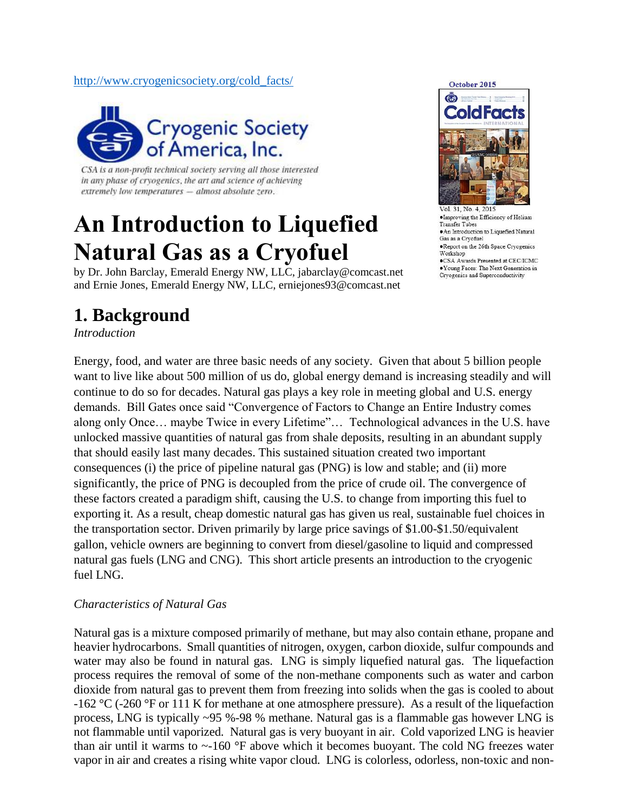#### [http://www.cryogenicsociety.org/cold\\_facts/](http://www.cryogenicsociety.org/cold_facts/)



CSA is a non-profit technical society serving all those interested in any phase of cryogenics, the art and science of achieving extremely low temperatures - almost absolute zero.

# **An Introduction to Liquefied Natural Gas as a Cryofuel**

by Dr. John Barclay, Emerald Energy NW, LLC, jabarclay@comcast.net and Ernie Jones, Emerald Energy NW, LLC, erniejones93@comcast.net

### **1. Background**

*Introduction*

Energy, food, and water are three basic needs of any society. Given that about 5 billion people want to live like about 500 million of us do, global energy demand is increasing steadily and will continue to do so for decades. Natural gas plays a key role in meeting global and U.S. energy demands. Bill Gates once said "Convergence of Factors to Change an Entire Industry comes along only Once… maybe Twice in every Lifetime"… Technological advances in the U.S. have unlocked massive quantities of natural gas from shale deposits, resulting in an abundant supply that should easily last many decades. This sustained situation created two important consequences (i) the price of pipeline natural gas (PNG) is low and stable; and (ii) more significantly, the price of PNG is decoupled from the price of crude oil. The convergence of these factors created a paradigm shift, causing the U.S. to change from importing this fuel to exporting it. As a result, cheap domestic natural gas has given us real, sustainable fuel choices in the transportation sector. Driven primarily by large price savings of \$1.00-\$1.50/equivalent gallon, vehicle owners are beginning to convert from diesel/gasoline to liquid and compressed natural gas fuels (LNG and CNG). This short article presents an introduction to the cryogenic fuel LNG.

#### *Characteristics of Natural Gas*

Natural gas is a mixture composed primarily of methane, but may also contain ethane, propane and heavier hydrocarbons. Small quantities of nitrogen, oxygen, carbon dioxide, sulfur compounds and water may also be found in natural gas. LNG is simply liquefied natural gas. The liquefaction process requires the removal of some of the non-methane components such as water and carbon dioxide from natural gas to prevent them from freezing into solids when the gas is cooled to about -162 °C (-260 °F or 111 K for methane at one atmosphere pressure). As a result of the liquefaction process, LNG is typically ~95 %-98 % methane. Natural gas is a flammable gas however LNG is not flammable until vaporized. Natural gas is very buoyant in air. Cold vaporized LNG is heavier than air until it warms to  $\sim$ -160 °F above which it becomes buoyant. The cold NG freezes water vapor in air and creates a rising white vapor cloud. LNG is colorless, odorless, non-toxic and non-



· Improving the Efficiency of Helium Transfer Tubes · An Introduction to Liquefied Natural Gas as a Cryofuel • Report on the 26th Space Cryogenics<br>Workshop .CSA Awards Presented at CEC/ICMC  $\bullet$  Young Faces: The Next Generation in Cryogenics and Superconductivity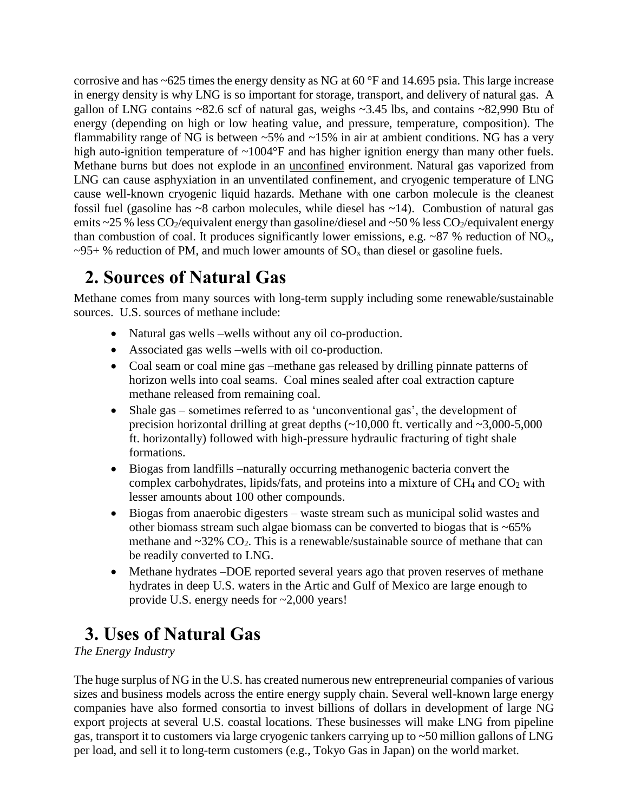corrosive and has ~625 times the energy density as NG at 60 °F and 14.695 psia. This large increase in energy density is why LNG is so important for storage, transport, and delivery of natural gas. A gallon of LNG contains ~82.6 scf of natural gas, weighs ~3.45 lbs, and contains ~82,990 Btu of energy (depending on high or low heating value, and pressure, temperature, composition). The flammability range of NG is between  $\sim$  5% and  $\sim$  15% in air at ambient conditions. NG has a very high auto-ignition temperature of ~1004°F and has higher ignition energy than many other fuels. Methane burns but does not explode in an unconfined environment. Natural gas vaporized from LNG can cause asphyxiation in an unventilated confinement, and cryogenic temperature of LNG cause well-known cryogenic liquid hazards. Methane with one carbon molecule is the cleanest fossil fuel (gasoline has ~8 carbon molecules, while diesel has ~14). Combustion of natural gas emits ~25 % less  $CO_2$ /equivalent energy than gasoline/diesel and ~50 % less  $CO_2$ /equivalent energy than combustion of coal. It produces significantly lower emissions, e.g. ~87 % reduction of  $NO<sub>x</sub>$ ,  $\sim$ 95+ % reduction of PM, and much lower amounts of SO<sub>x</sub> than diesel or gasoline fuels.

# **2. Sources of Natural Gas**

Methane comes from many sources with long-term supply including some renewable/sustainable sources. U.S. sources of methane include:

- Natural gas wells –wells without any oil co-production.
- Associated gas wells –wells with oil co-production.
- Coal seam or coal mine gas –methane gas released by drilling pinnate patterns of horizon wells into coal seams. Coal mines sealed after coal extraction capture methane released from remaining coal.
- Shale gas sometimes referred to as 'unconventional gas', the development of precision horizontal drilling at great depths  $(\sim 10,000$  ft. vertically and  $\sim 3,000-5,000$ ft. horizontally) followed with high-pressure hydraulic fracturing of tight shale formations.
- Biogas from landfills –naturally occurring methanogenic bacteria convert the complex carbohydrates, lipids/fats, and proteins into a mixture of  $CH_4$  and  $CO_2$  with lesser amounts about 100 other compounds.
- Biogas from anaerobic digesters waste stream such as municipal solid wastes and other biomass stream such algae biomass can be converted to biogas that is ~65% methane and  $\sim$ 32% CO<sub>2</sub>. This is a renewable/sustainable source of methane that can be readily converted to LNG.
- Methane hydrates –DOE reported several years ago that proven reserves of methane hydrates in deep U.S. waters in the Artic and Gulf of Mexico are large enough to provide U.S. energy needs for ~2,000 years!

# **3. Uses of Natural Gas**

*The Energy Industry*

The huge surplus of NG in the U.S. has created numerous new entrepreneurial companies of various sizes and business models across the entire energy supply chain. Several well-known large energy companies have also formed consortia to invest billions of dollars in development of large NG export projects at several U.S. coastal locations. These businesses will make LNG from pipeline gas, transport it to customers via large cryogenic tankers carrying up to ~50 million gallons of LNG per load, and sell it to long-term customers (e.g., Tokyo Gas in Japan) on the world market.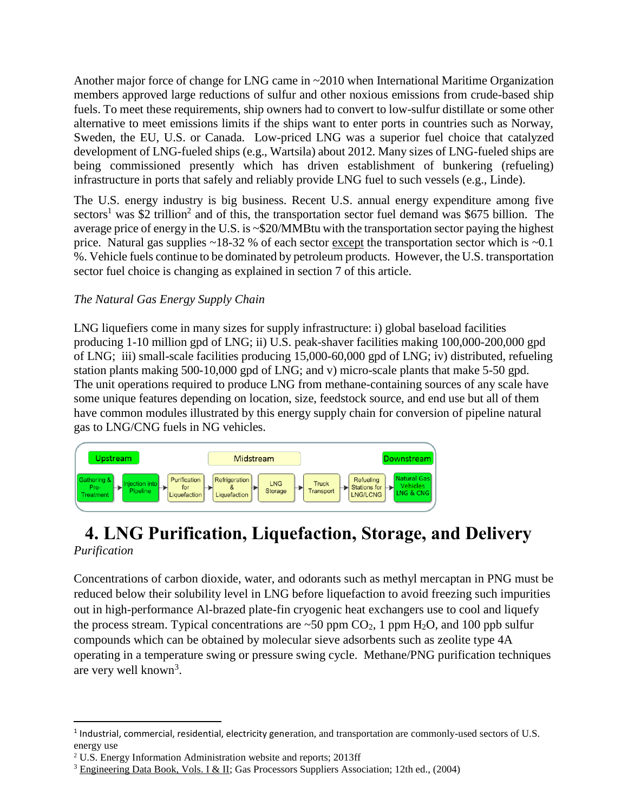Another major force of change for LNG came in ~2010 when International Maritime Organization members approved large reductions of sulfur and other noxious emissions from crude-based ship fuels. To meet these requirements, ship owners had to convert to low-sulfur distillate or some other alternative to meet emissions limits if the ships want to enter ports in countries such as Norway, Sweden, the EU, U.S. or Canada. Low-priced LNG was a superior fuel choice that catalyzed development of LNG-fueled ships (e.g., Wartsila) about 2012. Many sizes of LNG-fueled ships are being commissioned presently which has driven establishment of bunkering (refueling) infrastructure in ports that safely and reliably provide LNG fuel to such vessels (e.g., Linde).

The U.S. energy industry is big business. Recent U.S. annual energy expenditure among five sectors<sup>1</sup> was \$2 trillion<sup>2</sup> and of this, the transportation sector fuel demand was \$675 billion. The average price of energy in the U.S. is ~\$20/MMBtu with the transportation sector paying the highest price. Natural gas supplies  $\sim$ 18-32 % of each sector except the transportation sector which is  $\sim$ 0.1 %. Vehicle fuels continue to be dominated by petroleum products. However, the U.S. transportation sector fuel choice is changing as explained in section 7 of this article.

#### *The Natural Gas Energy Supply Chain*

LNG liquefiers come in many sizes for supply infrastructure: i) global baseload facilities producing 1-10 million gpd of LNG; ii) U.S. peak-shaver facilities making 100,000-200,000 gpd of LNG; iii) small-scale facilities producing 15,000-60,000 gpd of LNG; iv) distributed, refueling station plants making 500-10,000 gpd of LNG; and v) micro-scale plants that make 5-50 gpd. The unit operations required to produce LNG from methane-containing sources of any scale have some unique features depending on location, size, feedstock source, and end use but all of them have common modules illustrated by this energy supply chain for conversion of pipeline natural gas to LNG/CNG fuels in NG vehicles.



#### **4. LNG Purification, Liquefaction, Storage, and Delivery** *Purification*

Concentrations of carbon dioxide, water, and odorants such as methyl mercaptan in PNG must be reduced below their solubility level in LNG before liquefaction to avoid freezing such impurities out in high-performance Al-brazed plate-fin cryogenic heat exchangers use to cool and liquefy the process stream. Typical concentrations are  $\sim$  50 ppm CO<sub>2</sub>, 1 ppm H<sub>2</sub>O, and 100 ppb sulfur compounds which can be obtained by molecular sieve adsorbents such as zeolite type 4A operating in a temperature swing or pressure swing cycle. Methane/PNG purification techniques are very well known<sup>3</sup>.

 $\overline{\phantom{a}}$ 

<sup>&</sup>lt;sup>1</sup> Industrial, commercial, residential, electricity generation, and transportation are commonly-used sectors of U.S. energy use

<sup>2</sup> U.S. Energy Information Administration website and reports; 2013ff

<sup>3</sup> Engineering Data Book, Vols. I & II; Gas Processors Suppliers Association; 12th ed., (2004)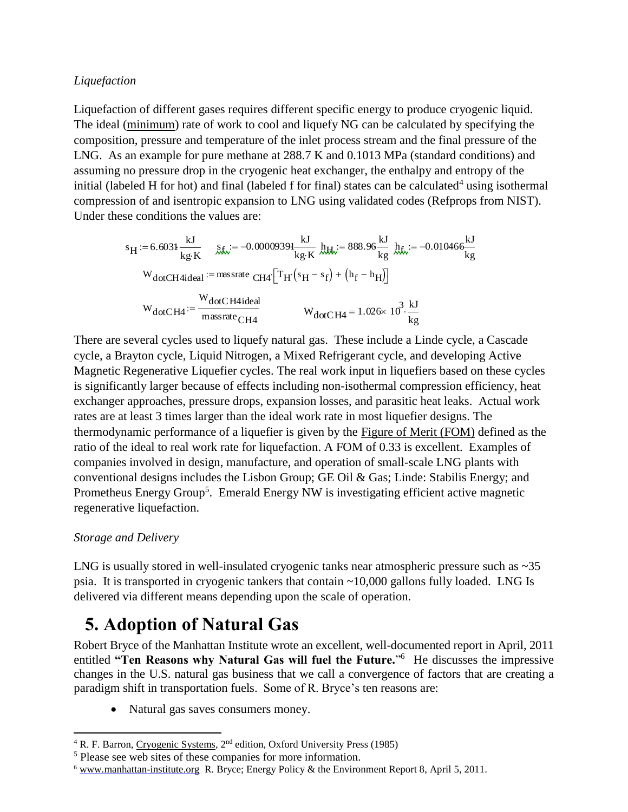#### *Liquefaction*

Liquefaction of different gases requires different specific energy to produce cryogenic liquid. The ideal (minimum) rate of work to cool and liquefy NG can be calculated by specifying the composition, pressure and temperature of the inlet process stream and the final pressure of the LNG. As an example for pure methane at 288.7 K and 0.1013 MPa (standard conditions) and assuming no pressure drop in the cryogenic heat exchanger, the enthalpy and entropy of the initial (labeled H for hot) and final (labeled f for final) states can be calculated<sup>4</sup> using isothermal compression of and isentropic expansion to LNG using validated codes (Refprops from NIST). Under these conditions the values are:

$$
s_{H} := 6.6031 \frac{kJ}{kg \cdot K} \quad \text{g}_{K} := -0.00009391 \frac{kJ}{kg \cdot K} \quad h_{H} := 888.96 \frac{kJ}{kg} \quad h_{K} := -0.010466 \frac{kJ}{kg}
$$
\n
$$
W_{dotCH4ideal} := \text{mass rate } CH4 \cdot \left[ T_{H} \left( s_{H} - s_{f} \right) + \left( h_{f} - h_{H} \right) \right]
$$
\n
$$
W_{dotCH4} := \frac{W_{dotCH4ideal}}{\text{mass rate } CH4} \quad W_{dotCH4} = 1.026 \times 10^{3} \cdot \frac{kJ}{kg}
$$

There are several cycles used to liquefy natural gas. These include a Linde cycle, a Cascade cycle, a Brayton cycle, Liquid Nitrogen, a Mixed Refrigerant cycle, and developing Active Magnetic Regenerative Liquefier cycles. The real work input in liquefiers based on these cycles is significantly larger because of effects including non-isothermal compression efficiency, heat exchanger approaches, pressure drops, expansion losses, and parasitic heat leaks. Actual work rates are at least 3 times larger than the ideal work rate in most liquefier designs. The thermodynamic performance of a liquefier is given by the Figure of Merit (FOM) defined as the ratio of the ideal to real work rate for liquefaction. A FOM of 0.33 is excellent. Examples of companies involved in design, manufacture, and operation of small-scale LNG plants with conventional designs includes the Lisbon Group; GE Oil & Gas; Linde: Stabilis Energy; and Prometheus Energy Group<sup>5</sup>. Emerald Energy NW is investigating efficient active magnetic regenerative liquefaction. 8 H<sub>1</sub> = 6.6031  $\frac{M}{k_B K}$  *K<sub>6</sub>* = -0.0000939<sup>1</sup> *K<sub>kH</sub>* = 888.86<sup>2</sup> *K<sub>kH</sub>* = -0.01046<sup>6</sup> *K<sub>K</sub>* W<br>
WacCH4iead <sup>1</sup> musstne CH4<sup>[T</sup>H<sup>(8</sup>H<sup>-8</sup>H<sup>)</sup> (<sup>h</sup>P<sup>-1</sup>h<sub>H</sub>)]<br>
W<sub>daCCH4</sub> =  $\frac{M_{ddC}CH4i\sinhh}{k_B}$ <br>
W<sub>daCCH4</sub> =  $\frac{M_{dd$ 

#### *Storage and Delivery*

LNG is usually stored in well-insulated cryogenic tanks near atmospheric pressure such as  $\sim$ 35 psia. It is transported in cryogenic tankers that contain ~10,000 gallons fully loaded. LNG Is delivered via different means depending upon the scale of operation.

## **5. Adoption of Natural Gas**

Robert Bryce of the Manhattan Institute wrote an excellent, well-documented report in April, 2011 entitled "Ten Reasons why Natural Gas will fuel the Future."<sup>6</sup> He discusses the impressive changes in the U.S. natural gas business that we call a convergence of factors that are creating a paradigm shift in transportation fuels. Some of R. Bryce's ten reasons are:

Natural gas saves consumers money.

 $\overline{a}$ <sup>4</sup> R. F. Barron, Cryogenic Systems, 2<sup>nd</sup> edition, Oxford University Press (1985)

<sup>5</sup> Please see web sites of these companies for more information.